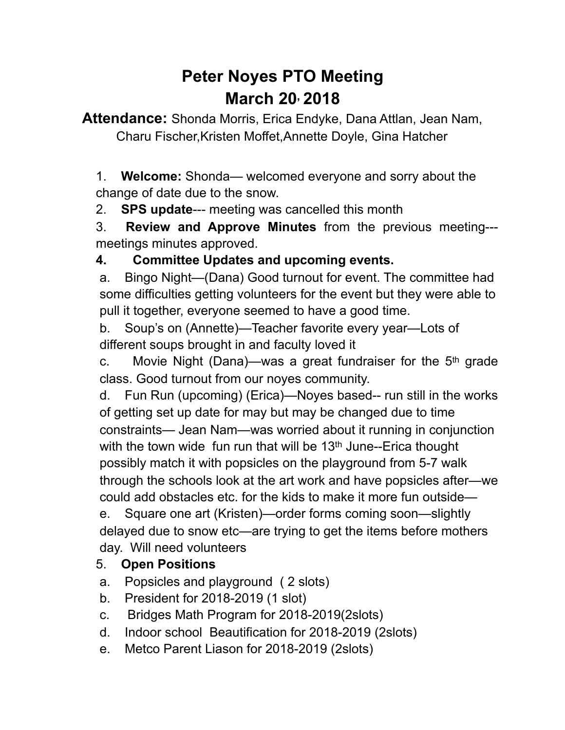# **Peter Noyes PTO Meeting March 20, 2018**

**Attendance:** Shonda Morris, Erica Endyke, Dana Attlan, Jean Nam, Charu Fischer,Kristen Moffet,Annette Doyle, Gina Hatcher

1. **Welcome:** Shonda— welcomed everyone and sorry about the change of date due to the snow.

2. **SPS update**--- meeting was cancelled this month

3. **Review and Approve Minutes** from the previous meeting-- meetings minutes approved.

## **4. Committee Updates and upcoming events.**

a. Bingo Night—(Dana) Good turnout for event. The committee had some difficulties getting volunteers for the event but they were able to pull it together, everyone seemed to have a good time.

b. Soup's on (Annette)—Teacher favorite every year—Lots of different soups brought in and faculty loved it

c. Movie Night (Dana)—was a great fundraiser for the  $5<sup>th</sup>$  grade class. Good turnout from our noyes community.

d. Fun Run (upcoming) (Erica)—Noyes based-- run still in the works of getting set up date for may but may be changed due to time constraints— Jean Nam—was worried about it running in conjunction with the town wide fun run that will be 13<sup>th</sup> June--Erica thought possibly match it with popsicles on the playground from 5-7 walk through the schools look at the art work and have popsicles after—we could add obstacles etc. for the kids to make it more fun outside—

e. Square one art (Kristen)—order forms coming soon—slightly delayed due to snow etc—are trying to get the items before mothers day. Will need volunteers

#### 5. **Open Positions**

- a. Popsicles and playground ( 2 slots)
- b. President for 2018-2019 (1 slot)
- c. Bridges Math Program for 2018-2019(2slots)
- d. Indoor school Beautification for 2018-2019 (2slots)
- e. Metco Parent Liason for 2018-2019 (2slots)